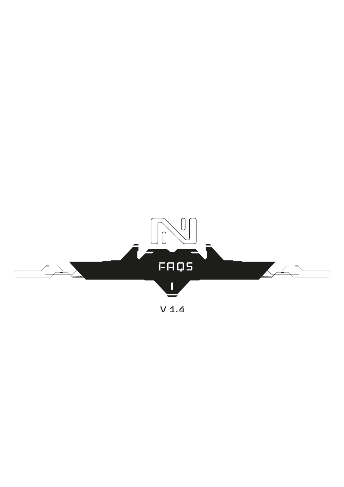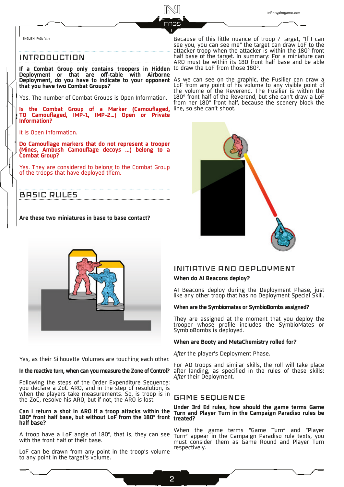ENGLISH. FAQs V1.4

# INTRODUCTION

**If a Combat Group only contains troopers in Hidden** to draw the LoF from those 180°. **Deployment or that are off-table with Airborne Deployment, do you have to indicate to your opponent**  As we can see on the graphic, the Fusilier can draw a **that you have two Combat Groups?**

Yes. The number of Combat Groups is Open Information.

**Is the Combat Group of a Marker (Camouflaged, TO Camouflaged, IMP-1, IMP-2…) Open or Private Information?**

It is Open Information.

**Do Camouflage markers that do not represent a trooper (Mines, Ambush Camouflage decoys ...) belong to a Combat Group?**

Yes. They are considered to belong to the Combat Group of the troops that have deployed them.

# BASIC RULES

**Are these two miniatures in base to base contact?** 

Because of this little nuance of troop / target, "If I can see you, you can see me" the target can draw LoF to the attacker troop when the attacker is within the 180º front half base of the target. In summary: For a miniature can ARO must be within its 180 front half base and be able

LoF from any point of his volume to any visible point of the volume of the Reverend. The Fusilier is within the 180º front half of the Reverend, but she can't draw a LoF from her 180° front half, because the scenery block the line, so she can't shoot.





Yes, as their Silhouette Volumes are touching each other.

#### **In the reactive turn, when can you measure the Zone of Control?**

Following the steps of the Order Expenditure Sequence: you declare a ZoC ARO, and in the step of resolution, is when the players take measurements. So, is troop is in the ZoC, resolve his ARO, but if not, the ARO is lost.

#### **Can I return a shot in ARO if a troop attacks within the 180º front half base, but without LoF from the 180º front treated? half base?**

with the front half of their base.

LoF can be drawn from any point in the troop's volume to any point in the target's volume.

# INITIATIVE AND DEPLOYMENT **When do AI Beacons deploy?**

AI Beacons deploy during the Deployment Phase, just like any other troop that has no Deployment Special Skill.

#### **When are the Symbiomates or SymbioBombs assigned?**

They are assigned at the moment that you deploy the trooper whose profile includes the SymbioMates or SymbioBombs is deployed.

#### **When are Booty and MetaChemistry rolled for?**

*After* the player's Deployment Phase.

For AD troops and similar skills, the roll will take place after landing, as specified in the rules of these skills: *After* their Deployment.

# GAME SEQUENCE

# **Under 3rd Ed rules, how should the game terms Game Turn and Player Turn in the Campaign Paradiso rules be**

A troop have a LoF angle of 180º, that is, they can see Turn" appear in the Campaign Paradiso rule texts, you When the game terms "Game Turn" and "Player must consider them as Game Round and Player Turn respectively.

2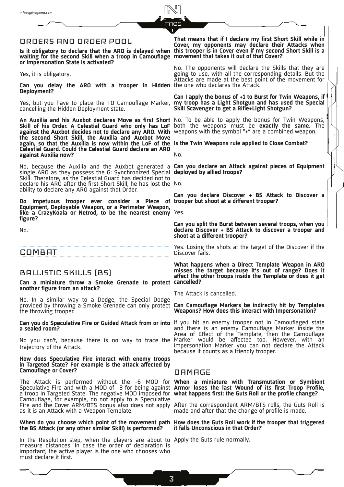|                                                                                                                                                                                                                                                                | <b>FAQS</b>                                                                                                                                                                                                                                                 |
|----------------------------------------------------------------------------------------------------------------------------------------------------------------------------------------------------------------------------------------------------------------|-------------------------------------------------------------------------------------------------------------------------------------------------------------------------------------------------------------------------------------------------------------|
| ORDERS AND ORDER POOL<br>waiting for the second Skill when a troop in Camouflage movement that takes it out of that Cover?<br>or Impersonation State is activated?                                                                                             | That means that if I declare my first Short Skill while in<br>Cover, my opponents may declare their Attacks when<br>Is it obligatory to declare that the ARO is delayed when this trooper is in Cover even if my second Short Skill is a                    |
| Yes, it is obligatory.<br>Can you delay the ARO with a trooper in Hidden the one who declares the Attack.<br>Deployment?                                                                                                                                       | No. The opponents will declare the Skills that they are<br>going to use, with all the corresponding details. But the<br>Attacks are made at the best point of the movement for                                                                              |
| cancelling the Hidden Deployment state.                                                                                                                                                                                                                        | Can I apply the bonus of +1 to Burst for Twin Weapons, if<br>Yes, but you have to place the TO Camouflage Marker, my troop has a Light Shotgun and has used the Special<br>Skill Scavenger to get a Rifle+Light Shotgun?                                    |
| against the Auxbot decides not to declare any ARO. With weapons with the symbol "+" are a combined weapon.<br>the second Short Skill, the Auxilia and Auxbot Move                                                                                              | An Auxilia and his Auxbot declares Move as first Short No. To be able to apply the bonus for Twin Weapons,<br>Skill of his Order. A Celestial Guard who only has LoF both the weapons must be exactly the same. The                                         |
| again, so that the Auxilia is now within the LoF of the Is the Twin Weapons rule applied to Close Combat?<br>Celestial Guard. Could the Celestial Guard declare an ARO<br>against Auxilia now?                                                                 | No.                                                                                                                                                                                                                                                         |
| single ARO as they possess the G: Synchronized Special deployed by allied troops?<br>Skill. Therefore, as the Celestial Guard has decided not to<br>declare his ARO after the first Short Skill, he has lost the No.                                           | No, because the Auxilia and the Auxbot generated a Can you declare an Attack against pieces of Equipment                                                                                                                                                    |
| ability to declare any ARO against that Order.<br>Do Impetuous trooper ever consider a Piece of trooper but shoot at a different trooper?<br>Equipment, Deployable Weapon, or a Perimeter Weapon,<br>like a CrazyKoala or Netrod, to be the nearest enemy Yes. | Can you declare Discover + BS Attack to Discover a                                                                                                                                                                                                          |
| figure?                                                                                                                                                                                                                                                        |                                                                                                                                                                                                                                                             |
| No.                                                                                                                                                                                                                                                            | Can you split the Burst between several troops, when you<br>declare Discover + BS Attack to discover a trooper and                                                                                                                                          |
|                                                                                                                                                                                                                                                                | shoot at a different trooper?                                                                                                                                                                                                                               |
| COMBAT                                                                                                                                                                                                                                                         | Yes. Losing the shots at the target of the Discover if the<br>Discover fails.                                                                                                                                                                               |
| BALLISTIC SKILLS [BS]<br>Can a miniature throw a Smoke Grenade to protect cancelled?                                                                                                                                                                           | What happens when a Direct Template Weapon in ARO<br>misses the target because it's out of range? Does it<br>affect the other troops inside the Template or does it get                                                                                     |
| another figure from an attack?                                                                                                                                                                                                                                 | The Attack is cancelled.                                                                                                                                                                                                                                    |
| No. In a similar way to a Dodge, the Special Dodge<br>the throwing trooper.                                                                                                                                                                                    | provided by throwing a Smoke Grenade can only protect Can Camouflage Markers be indirectly hit by Templates<br>Weapons? How does this interact with Impersonation?                                                                                          |
| a sealed room?                                                                                                                                                                                                                                                 | Can you do Speculative Fire or Guided Attack from or into If you hit an enemy trooper not in Camouflaged state<br>and there is an enemy Camouflage Marker inside the                                                                                        |
| trajectory of the Attack.                                                                                                                                                                                                                                      | Area of Effect of the Template, then the Camouflage<br>No you can't, because there is no way to trace the Marker would be affected too. However, with an<br>Impersonation Marker you can not declare the Attack<br>because it counts as a friendly trooper. |
| How does Speculative Fire interact with enemy troops<br>in Targeted State? For example is the attack affected by<br><b>Camouflage or Cover?</b>                                                                                                                | DAMAGE                                                                                                                                                                                                                                                      |
| a troop in Targeted State. The negative MOD imposed for what happens first: the Guts Roll or the profile change?                                                                                                                                               | The Attack is performed without the -6 MOD for <b>When a miniature with Transmutation or Symbiont</b><br>Speculative Fire and with a MOD of +3 for being against Armor loses the last Wound of its first Troop Profile,                                     |
| Camouflage, for example, do not apply to a Speculative<br>as it is an Attack with a Weapon Template.                                                                                                                                                           | Fire and the Cover ARM/BTS bonus also does not apply After the correspondent ARM/BTS rolls, the Guts Roll is<br>made and after that the change of profile is made.                                                                                          |
| the BS Attack (or any other similar Skill) is performed?                                                                                                                                                                                                       | When do you choose which point of the movement path How does the Guts Roll work if the trooper that triggered<br>it falls Unconscious in that Order?                                                                                                        |

 $\begin{picture}(42,14) \put(0,0){\line(1,0){150}} \put(15,0){\line(1,0){150}} \put(15,0){\line(1,0){150}} \put(15,0){\line(1,0){150}} \put(15,0){\line(1,0){150}} \put(15,0){\line(1,0){150}} \put(15,0){\line(1,0){150}} \put(15,0){\line(1,0){150}} \put(15,0){\line(1,0){150}} \put(15,0){\line(1,0){150}} \put(15,0){\line(1,0){150}} \$ 

In the Resolution step, when the players are about to measure distances. In case the order of declaration is important, the active player is the one who chooses who must declare it first.

infinitythegame.com

Apply the Guts rule normally.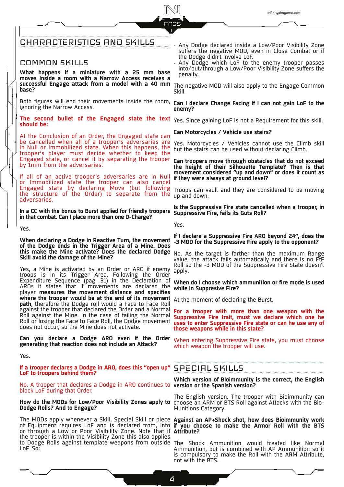# CHARACTERISTICS AND SKILLS

# COMMON SKILLS

**What happens if a miniature with a 25 mm base moves inside a room with a Narrow Access receives a successful Engage attack from a model with a 40 mm base?** 

ignoring the Narrow Access.

**The second bullet of the Engaged state the text**  Yes. Since gaining LoF is not a Requirement for this skill. **should be:**

At the Conclusion of an Order, the Engaged state can be cancelled when all of a trooper's adversaries are in Null or Immobilized state. When this happens, the trooper's player must decide whether to keep the Engaged state, or cancel it by separating the trooper by 1mm from the adversaries.

If all of an active trooper's adversaries are in Null or Immobilized state the trooper can also cancel Engaged state by declaring Move (but following Engaged "State" by declaring Move (but Tollowing Troops can vault and they are considered to be moving<br>the structure of the Order) to separate from the <sub>un and down.</sub> adversaries.

**In a CC with the bonus to Burst applied for friendly troopers in that combat. Can I place more than one D-Charge?** 

Yes.

**When declaring a Dodge in Reactive Turn, the movement of the Dodge ends in the Trigger Area of a Mine. Does this make the Mine activate? Does the declared Dodge**  No. As the target is farther than the maximum Range **Skill avoid the damage of the Mine?** 

Yes, a Mine is activated by an Order or ARO if enemy troops is in its Trigger Area. Following the Order Expenditure Sequence (pag. 31) in the Declaration of AROs it states that if movements are declared the player **measures the movement distance and specifies where the trooper would be at the end of its movement**  path, therefore the Dodge roll would a Face to Face Roll against the trooper that declared the Order and a Normal Roll against the Mine. In the case of failing the Normal Roll or losing the Face to Face Roll, the Dodge movement does not occur, so the Mine does not activate.

**Can you declare a Dodge ARO even if the Order generating that reaction does not include an Attack?** 

Yes.

**If a trooper declares a Dodge in ARO, does this "open up"**  SPECIAL SKILLS **LoF to troopers behind them?**

No. A trooper that declares a Dodge in ARO continues to **version or the Spanish version?**  block LoF during that Order.

**How do the MODs for Low/Poor Visibility Zones apply to**  choose an ARM or BTS Roll against Attacks with the Bio-**Dodge Rolls? And to Engage?** 

The MODs apply whenever a Skill, Special Skill or piece **Against an AP+Shock shot, how does Bioimmunity work**  of Equipment requires LoF and is declared from, into or through a Low or Poor Visibility Zone. Note that if the trooper is within the Visibility Zone this also applies to Dodge Rolls against template weapons from outside The Shock Ammunition would treated like Normal LoF. So:

- .............. Any Dodge declared inside a Low/Poor Visibility Zone suffers the negative MOD, even in Close Combat or if the Dodge didn't involve LoF.
	- Any Dodge which LoF to the enemy trooper passes into/out/through a Low/Poor Visibility Zone suffers the penalty.

The negative MOD will also apply to the Engage Common Skill.

Both figures will end their movements inside the room, **Can I declare Change Facing if I can not gain LoF to the**<br>ignoring the Narrow Accose **enemy?** 

# **Can Motorcycles / Vehicle use stairs?**

Yes. Motorcycles / Vehicles cannot use the Climb skill but the stairs can be used without declaring Climb.

**Can troopers move through obstacles that do not exceed the height of their Silhouette Template? Then is that movement considered "up and down" or does it count as if they were always at ground level?** 

up and down.

**Is the Suppressive Fire state cancelled when a trooper, in Suppressive Fire, fails its Guts Roll?**

Yes.

# **If I declare a Suppressive Fire ARO beyond 24", does the -3 MOD for the Suppressive Fire apply to the opponent?**

value, the attack fails automatically and there is no FtF Roll so the -3 MOD of the Suppressive Fire State doesn't apply.

**When do I choose which ammunition or fire mode is used while in Suppresive Fire?**

At the moment of declaring the Burst.

**For a trooper with more than one weapon with the Suppressive Fire trait, must we declare which one he uses to enter Suppressive Fire state or can he use any of those weapons while in this state?**

When entering Suppressive Fire state, you must choose which weapon the trooper will use.

**Which version of Bioimmunity is the correct, the English** 

The English version. The trooper with Bioimmunity can Munitions Category.

**if you choose to make the Armor Roll with the BTS Attribute?** 

Ammunition, but is combined with AP Ammunition so it is compulsory to make the Roll with the ARM Attribute, not with the BTS.

4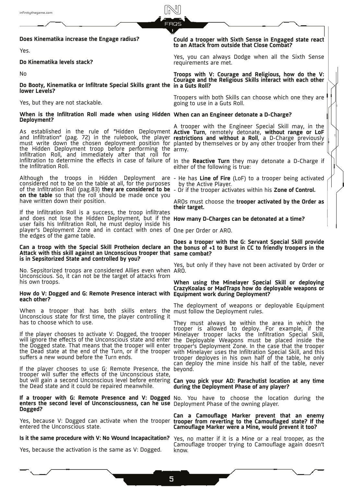**Does Kinematika increase the Engage radius?** 

Yes.

**Do Kinematika levels stack?** 

No

**Do Booty, Kinematika or Infiltrate Special Skills grant the in a Guts Roll? lower Levels?** 

Yes, but they are not stackable.

**When is the Infiltration Roll made when using Hidden When can an Engineer detonate a D-Charge? Deployment?** 

As established in the rule of "Hidden Deployment **Active Turn**, remotely detonate, **without range or LoF**  and Infiltration" (pag. 72) in the rulebook, the player **restrictions and without a Roll**, a D-Charge previously must write down the chosen deployment position for planted by themselves or by any other trooper from their the Hidden Deployment troop before performing the Infiltration Roll, and immediately after that roll for Infiltration to determine the effects in case of failure of In the **Reactive Turn** they may detonate a D-Charge if the Infiltration Roll.

Although the troops in Hidden Deployment are considered not to be on the table at all, for the purposes of the Infiltration Roll (pag.83) **they are considered to be**  - Or if the trooper activates within his **Zone of Control. on the table** so that the roll should be made once you have written down their position.

If the Infiltration Roll is a success, the troop infiltrates and does not lose the Hidden Deployment, but if the **How many D-Charges can be detonated at a time?**  user fails his Infiltration Roll, he must deploy inside his player's Deployment Zone and in contact with ones of One per Order or ARO. the edges of the game table.

# **Attack with this skill against an Unconscious trooper that same combat? is in Sepsitorized State and controlled by you?**

No. Sepsitorized troops are considered Allies even when ARO. Unconscious. So, it can not be the target of attacks from his own troops.

### **How do V: Dogged and G: Remote Presence interact with Equipment work during Deployment? each other?**

When a trooper that has both skills enters the Unconscious state for first time, the player controlling it has to choose which to use.

If the player chooses to activate V: Dogged, the trooper Minelayer trooper lacks the Infiltration Special Skill, will ignore the effects of the Unconscious state and enter the Deployable Weapons must be placed inside the the Dogged state. That means that the trooper will enter trooper's Deployment Zone. In the case that the trooper the Dead state at the end of the Turn, or if the trooper with Minelayer uses the Infiltration Special Skill, and this suffers a new wound before the Turn ends.

If the player chooses to use G: Remote Presence, the beyond. trooper will suffer the effects of the Unconscious state, but will gain a second Unconscious level before entering **Can you pick your AD: Parachutist location at any time**  the Dead state and it could be repaired meanwhile.

#### **If a trooper with G: Remote Presence and V: Dogged** No. You have to choose the location during the **enters the second level of Unconsciousness, can he use**  Deployment Phase of the owning player. **Dogged?**

Yes, because V: Dogged can activate when the trooper entered the Unconscious state.

Yes, because the activation is the same as V: Dogged.

**Could a trooper with Sixth Sense in Engaged state react to an Attack from outside that Close Combat?** 

Yes, you can always Dodge when all the Sixth Sense requirements are met.

**Troops with V: Courage and Religious, how do the V: Courage and the Religious Skills interact with each other** 

Troopers with both Skills can choose which one they are going to use in a Guts Roll.

A trooper with the Engineer Special Skill may, in the army.

either of the following is true:

- He has **Line of Fire** (LoF) to a trooper being activated by the Active Player.
- 

AROs must choose the **trooper activated by the Order as their target.**

**Can a troop with the Special Skill Protheion declare an the bonus of +1 to Burst in CC to friendly troopers in the Does a trooper with the G: Servant Special Skill provide** 

Yes, but only if they have not been activated by Order or

# **When using the Minelayer Special Skill or deploying CrazyKoalas or MadTraps how do deployable weapons or**

The deployment of weapons or deployable Equipment must follow the Deployment rules.

They must always be within the area in which the trooper is allowed to deploy. For example, if the trooper deployes in his own half of the table, he only can deploy the mine inside his half of the table, never

# **during the Deployment Phase of any player?**

**Can a Camouflage Marker prevent that an enemy trooper from reverting to the Camouflaged state? If the Camouflage Marker were a Mine, would prevent it too?** 

**Is it the same procedure with V: No Wound Incapacitation?**  Yes, no matter if it is a Mine or a real trooper, as the Camouflage trooper trying to Camouflage again doesn't know.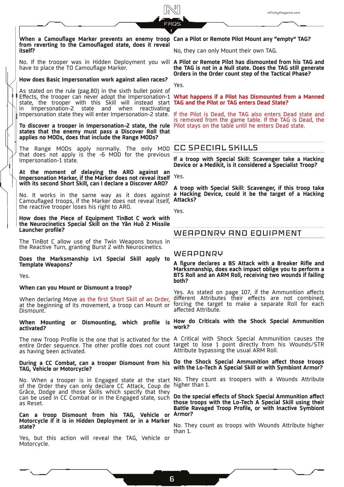**When a Camouflage Marker prevents an enemy troop from reverting to the Camouflaged state, does it reveal itself?** 

have to place the TO Camouflage Marker.

**How does Basic Impersonation work against alien races?** 

As stated on the rule (pag.80) in the sixth bullet point of Effects, the trooper can never adopt the Impersonation-1 state, the trooper with this Skill will instead start **TAG and the Pilot or TAG enters Dead State?** in Impersonation-2 state and when reactivating Impersonation state they will enter Impersonation-2 state.

**To discover a trooper in Impersonation-2 state, the rule**  Pilot stays on the table until he enters Dead state. **states that the enemy must pass a Discover Roll that applies no MODs, does that include the Range MODs?** 

The Range MODs apply normally. The only MOD CC SPECIAL SKILLS that does not apply is the -6 MOD for the previous Impersonation-1 state.

**At the moment of delaying the ARO against an Impersonation Marker, if the Marker does not reveal itself with its second Short Skill, can I declare a Discover ARO?** 

No. It works in the same way as it does against Camouflaged troops, if the Marker does not reveal itself, the reactive trooper loses his right to ARO.

**How does the Piece of Equipment TinBot C work with the Neurocinetics Special Skill on the Yān Huŏ 2 Missile Launcher profile?**

The TinBot C allow use of the Twin Weapons bonus in the Reactive Turn, granting Burst 2 with Neurocinetics.

**Does the Marksmanship Lv1 Special Skill apply to Template Weapons?**

Yes.

#### **When can you Mount or Dismount a troop?**

When declaring Move as the first Short Skill of an Order, at the beginning of its movement, a troop can Mount or Dismount.

**activated?**

entire Order sequence. The other profile does not count target to lose 1 point directly from his Wounds/STR as having been activated.

# **TAG, Vehicle or Motorcycle?**

No. When a trooper is in Engaged state at the start of the Order they can only declare CC Attack, Coup de Grâce, Dodge and those Skills which specify that they can be used in CC Combat or in the Engaged state, such **Do the special effects of Shock Special Ammunition affect**  as Reset.

**Can a troop Dismount from his TAG, Vehicle or Motorcycle if it is in Hidden Deployment or in a Marker state?**

Yes, but this action will reveal the TAG, Vehicle or Motorcycle.

### **Can a Pilot or Remote Pilot Mount any "empty" TAG?**

No, they can only Mount their own TAG.

No. If the trooper was in Hidden Deployment you will **A Pilot or Remote Pilot has dismounted from his TAG and the TAG is not in a Null state. Does the TAG still generate Orders in the Order count step of the Tactical Phase?**

Yes.

**What happens if a Pilot has Dismounted from a Manned** 

If the Pilot is Dead, the TAG also enters Dead state and is removed from the game table. If the TAG is Dead, the

**If a troop with Special Skill: Scavenger take a Hacking Device or a Medikit, is it considered a Specialist Troop?**

Yes.

**A troop with Special Skill: Scavenger, if this troop take a Hacking Device, could it be the target of a Hacking Attacks?**

Yes.

# WEAPONRY AND EQUIPMENT

# **WEAPONRY**

**A figure declares a BS Attack with a Breaker Rifle and Marksmanship, does each impact oblige you to perform a BTS Roll and an ARM Roll, receiving two wounds if failing both?** 

Yes. As stated on page 107, if the Ammunition affects different Attributes their effects are not combined, forcing the target to make a separate Roll for each affected Attribute.

**When Mounting or Dismounting, which profile is How do Criticals with the Shock Special Ammunition work?**

The new Troop Profile is the one that is activated for the A Critical with Shock Special Ammunition causes the Attribute bypassing the usual ARM Roll.

**During a CC Combat, can a trooper Dismount from his Do the Shock Special Ammunition affect those troops with the Lo-Tech A Special Skill or with Symbiont Armor?** 

> No. They count as troopers with a Wounds Attribute higher than 1.

> **those troops with the Lo-Tech A Special Skill using their Battle Ravaged Troop Profile, or with Inactive Symbiont Armor?**

> No. They count as troops with Wounds Attribute higher than 1.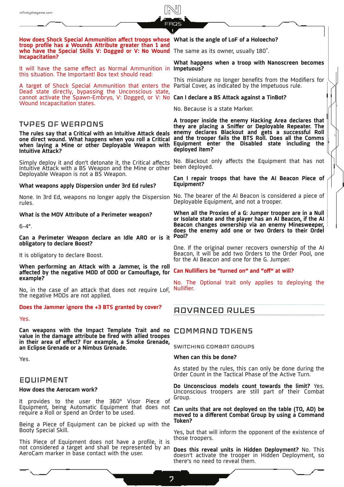**How does Shock Special Ammunition affect troops whose What is the angle of LoF of a Holoecho? troop profile has a Wounds Attribute greater than 1 and who have the Special Skills V: Dogged or V: No Wound**  The same as its owner, usually 180˚. **Incapacitation?**

It will have the same effect as Normal Ammunition in **Impetuous?** this situation. The Important! Box text should read:

A target of Shock Special Ammunition that enters the Partial Cover, as indicated by the Impetuous rule. Dead state directly, bypassing the Unconscious state, cannot activate the Spawn-Embryo, V: Dogged, or V: No **Can I declare a BS Attack against a TinBot?**  Wound Incapacitation states.

# TYPES OF WEAPONS

**The rules say that a Critical with an Intuitive Attack deals one direct wound. What happens when you roll a Critical when laying a Mine or other Deployable Weapon with Equipment enter the Disabled state including the Intuitive Attack?** 

Simply deploy it and don't detonate it, the Critical affects Intuitive Attack with a BS Weapon and the Mine or other Deployable Weapon is not a BS Weapon.

### **What weapons apply Dispersion under 3rd Ed rules?**

None. In 3rd Ed, weapons no longer apply the Dispersion rules.

### **What is the MOV Attribute of a Perimeter weapon?**

 $6 - 4$ "

**Can a Perimeter Weapon declare an Idle ARO or is it obligatory to declare Boost?**

It is obligatory to declare Boost.

**When performing an Attack with a Jammer, is the roll affected by the negative MOD of ODD or Camouflage, for example?**

No, in the case of an attack that does not require LoF, the negative MODs are not applied.

# **Does the Jammer ignore the +3 BTS granted by cover?**

Yes.

**Can weapons with the Impact Template Trait and no value in the damage attribute be fired with allied troopes in their area of effect? For example, a Smoke Grenade, an Eclipse Grenade or a Nimbus Grenade.**

Yes.

# **EQUIPMENT**

# **How does the Aerocam work?**

It provides to the user the 360º Visor Piece of Equipment, being Automatic Equipment that does not require a Roll or spend an Order to be used.

Being a Piece of Equipment can be picked up with the Booty Special Skill.

This Piece of Equipment does not have a profile, it is not considered a target and shall be represented by an AeroCam marker in base contact with the user.

# **What happens when a troop with Nanoscreen becomes**

This miniature no longer benefits from the Modifiers for

No. Because is a state Marker.

**A trooper inside the enemy Hacking Area declares that they are placing a Sniffer or Deployable Repeater. The enemy declares Blackout and gets a successful Roll and the trooper fails the BTS Roll. Does all the Comms deployed item?** 

No. Blackout only affects the Equipment that has not been deployed.

**Can I repair troops that have the AI Beacon Piece of Equipment?**

No. The bearer of the AI Beacon is considered a piece of Deployable Equipment, and not a trooper.

**When all the Proxies of a G: Jumper trooper are in a Null or Isolate state and the player has an AI Beacon, if the AI Beacon changes ownership via an enemy Minesweeper,**  does the enemy add one or two Orders to their Ordel **Pool?**

One. If the original owner recovers ownership of the AI Beacon, it will be add two Orders to the Order Pool, one for the AI Beacon and one for the G. Jumper.

### **Can Nullifiers be "turned on" and "off" at will?**

No. The Optional trait only applies to deploying the Nullifier.

# ADVANCED RULES

# COMMAND TOKENS

SWITCHING COMBAT GROUPS

# **When can this be done?**

As stated by the rules, this can only be done during the Order Count in the Tactical Phase of the Active Turn.

**Do Unconscious models count towards the limit?** Yes. Unconscious troopers are still part of their Combat Group.

**Can units that are not deployed on the table (TO, AD) be moved to a different Combat Group by using a Command Token?** 

Yes, but that will inform the opponent of the existence of those troopers.

**Does this reveal units in Hidden Deployment?** No. This doesn't activate the trooper in Hidden Deployment, so there's no need to reveal them.

7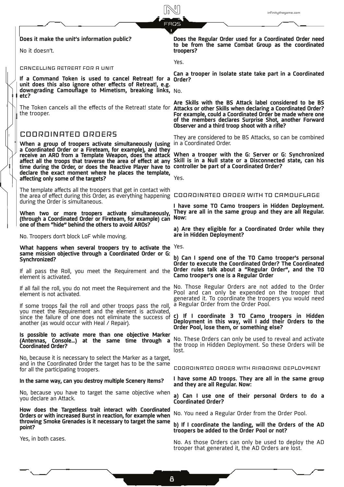infinitythegame.com

#### **Does it make the unit's information public?**

No it doesn't.

### CANCELLING RETREAT FOR A UNIT

**If a Command Token is used to cancel Retreat! for a unit does this also ignore other effects of Retreat!, e.g. downgrading Camouflage to Mimetism, breaking links,**  No. **etc?**

the trooper.

# COORDINATED ORDERS

**When a group of troopers activate simultaneously (using**  in a Coordinated Order. **a Coordinated Order or a Fireteam, for example), and they**  receive an ARO from a Template Weapon, does the attack **affect all the troops that traverse the area of effect at any Skill is in a Null state or a Disconnected state, can his time during the Order, or does the Reactive Player have to controller be part of a Coordinated Order? declare the exact moment where he places the template, affecting only some of the targets?** 

The template affects all the troopers that get in contact with the area of effect during this Order, as everything happening COORDINATED ORDER WITH TO CAMOUFLAGE during the Order is simultaneous.

**When two or more troopers activate simultaneously, (through a Coordinated Order or Fireteam, for example) can one of them "hide" behind the others to avoid AROs?** 

No. Troopers don't block LoF while moving.

**What happens when several troopers try to activate the**  Yes. **same mission objective through a Coordinated Order or G: Synchronized?** 

If all pass the Roll, you meet the Requirement and the element is activated.

element is not activated.

If some troops fail the roll and other troops pass the roll, you meet the Requirement and the element is activated, since the failure of one does not eliminate the success of another (as would occur with Heal / Repair).

**Is possible to activate more than one objective Marker (Antennas, Console…) at the same time through a Coordinated Order?** 

No, because it is necessary to select the Marker as a target, and in the Coordinated Order the target has to be the same for all the participating troopers.

#### **In the same way, can you destroy multiple Scenery Items?**

No, because you have to target the same objective when you declare an Attack.

**How does the Targetless trait interact with Coordinated Orders or with increased Burst in reaction, for example when throwing Smoke Grenades is it necessary to target the same point?** 

Yes, in both cases.

**Does the Regular Order used for a Coordinated Order need to be from the same Combat Group as the coordinated troopers?** 

Yes.

**Can a trooper in Isolate state take part in a Coordinated Order?**

The Token cancels all the effects of the Retreat! state for **Attacks or other Skills when declaring a Coordinated Order? Are Skills with the BS Attack label considered to be BS For example, could a Coordinated Order be made where one of the members declares Surprise Shot, another Forward Observer and a third troop shoot with a rifle?**

They are considered to be BS Attacks, so can be combined

**When a trooper with the G: Server or G: Synchronized** 

Yes.

**I have some TO Camo troopers in Hidden Deployment. They are all in the same group and they are all Regular. Now:** 

**a) Are they eligible for a Coordinated Order while they are in Hidden Deployment?**

**b) Can I spend one of the TO Camo trooper's personal Order to execute the Coordinated Order? The Coordinated Order rules talk about a "Regular Order", and the TO Camo trooper's one is a Regular Order**

If all fail the roll, you do not meet the Requirement and the No. Those Regular Orders are not added to the Order Pool and can only be expended on the trooper that generated it. To coordinate the troopers you would need a Regular Order from the Order Pool.

> **c) If I coordinate 3 TO Camo troopers in Hidden Deployment in this way, will I add their Orders to the Order Pool, lose them, or something else?**

> No. These Orders can only be used to reveal and activate the troop in Hidden Deployment. So these Orders will be lost.

COORDINATED ORDER WITH AIRBORNE DEPLOYMENT

**I have some AD troops. They are all in the same group and they are all Regular. Now:** 

**a) Can I use one of their personal Orders to do a Coordinated Order?**

No. You need a Regular Order from the Order Pool.

**b) If I coordinate the landing, will the Orders of the AD troopers be added to the Order Pool or not?**

No. As those Orders can only be used to deploy the AD trooper that generated it, the AD Orders are lost.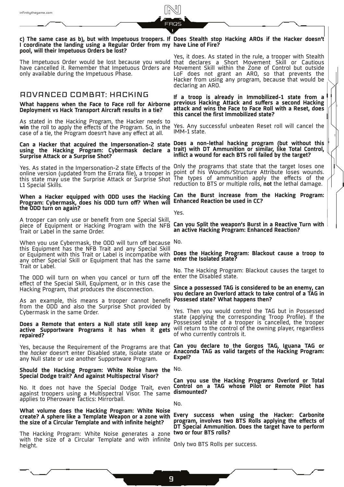#### **c) The same case as b), but with Impetuous troopers. If Does Stealth stop Hacking AROs if the Hacker doesn't I coordinate the landing using a Regular Order from my have Line of Fire? pool, will their Impetuous Orders be lost?**

The Impetuous Order would be lost because you would that declares a Short Movement Skill or Cautious have cancelled it. Remember that Impetuous Orders are only available during the Impetuous Phase.

# ADVANCED COMBAT: HACKING

#### **What happens when the Face to Face roll for Airborne Deployment vs Hack Transport Aircraft results in a tie?**

As stated in the Hacking Program, the Hacker needs to **win** the roll to apply the effects of the Program. So, in the case of a tie, the Program doesn't have any effect at all.

# **using the Hacking Program: Cybermask declare a Surprise Attack or a Surprise Shot?**

online version (updated from the Errata file), a trooper in point of his Wounds/Structure Attribute loses wounds. this state may use the Surprise Attack or Surprise Shot The types of ammunition apply the effects of the L1 Special Skills.

# **Program: Cybermask, does his ODD turn off? When will Enhanced Reaction be used in CC? the ODD turn on again?**

A trooper can only use or benefit from one Special Skill, piece of Equipment or Hacking Program with the NFB Trait or Label in the same Order.

When you use Cybermask, the ODD will turn off because No. this Equipment has the NFB Trait and any Special Skill or Equipment with this Trait or Label is incompatibe with **Does the Hacking Program: Blackout cause a troop to**  any other Special Skill or Equipment that has the same **enter the Isolated state?**  Trait or Label.

The ODD will turn on when you cancel or turn off the enter the Disabled state. effect of the Special Skill, Equipment, or in this case the Hacking Program, that produces the disconnection.

As an example, this means a trooper cannot benefit from the ODD and also the Surprise Shot provided by Cybermask in the same Order.

#### **Does a Remote that enters a Null state still keep any active Supportware Programs it has when it gets**  will return to the control of the owning player, regardless **repaired?**

the *hacker* doesn't enter Disabled state, Isolate state or any Null state or use another Supportware Program.

### **Should the Hacking Program: White Noise have the**  No. **Special Dodge trait? And against Multispectral Visor?**

against troopers using a Multispectral Visor. The same **dismounted?** applies to Pheroware Tactics: Mirrorball.

# **What volume does the Hacking Program: White Noise the size of a Circular Template and with infinite height?**

The Hacking Program: White Noise generates a zone with the size of a Circular Template and with infinite height.

Yes, it does. As stated in the rule, a trooper with Stealth Movement Skill within the Zone of Control but outside LoF does not grant an ARO, so that prevents the Hacker from using any program, because that would be declaring an ARO.

**If a troop is already in Immobilized-1 state from a previous Hacking Attack and suffers a second Hacking attack and wins the Face to Face Roll with a Reset, does this cancel the first Immobilized state?** 

Yes. Any successful unbeaten Reset roll will cancel the IMM-1 state.

**Can a Hacker that acquired the Impersonation-2 state Does a non-lethal hacking program (but without this trait) with DT Ammunition or similar, like Total Control, inflict a wound for each BTS roll failed by the target?** 

Yes. As stated in the Impersonation-2 state Effects of the Only the programs that state that the target loses one reduction to BTS or multiple rolls, **not** the lethal damage.

When a Hacker equipped with ODD uses the Hacking Can the Burst increase from the Hacking Program:

Yes.

**Can you Split the weapon's Burst in a Reactive Turn with an active Hacking Program: Enhanced Reaction?** 

No. The Hacking Program: Blackout causes the target to

### **Since a possessed TAG is considered to be an enemy, can you declare an Overlord attack to take control of a TAG in Possesed state? What happens then?**

Yes. Then you would control the TAG but in Possessed state (applying the corresponding Troop Profile). If the Possessed state of a trooper is cancelled, the trooper of who currently controls it.

Yes, because the Requirement of the Programs are that **Can you declare to the Gorgos TAG, Iguana TAG or Anaconda TAG as valid targets of the Hacking Program: Expel?**

No. It does not have the Special Dodge Trait, even **Control on a TAG whose Pilot or Remote Pilot has Can you use the Hacking Programs Overlord or Total** 

No.

**create? A sphere like a Template Weapon or a zone with Every success when using the Hacker: Carbonite program, involves two BTS Rolls applying the effects of DT Special Ammunition. Does the target have to perform two or four BTS rolls?**

Only two BTS Rolls per success.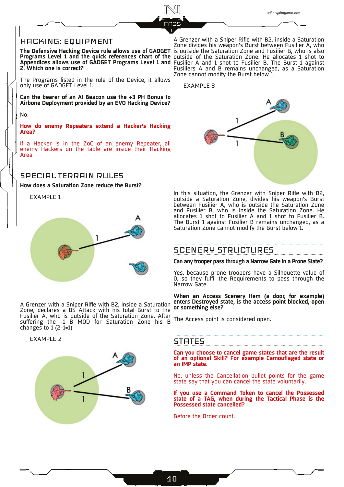# HACKING: EQUIPMENT

**The Defensive Hacking Device rule allows use of GADGET**  is outside the Saturation Zone and Fusilier B, who is also **Programs Level 1 and the quick references chart of the Appendices allows use of GADGET Programs Level 1 and 2. Which one is correct?** 

The Programs listed in the rule of the Device, it allows only use of GADGET Level 1.

**Can the bearer of an AI Beacon use the +3 PH Bonus to Airbone Deployment provided by an EVO Hacking Device?**

No.

**How do enemy Repeaters extend a Hacker's Hacking Area?**

If a Hacker is in the ZoC of an enemy Repeater, all enemy Hackers on the table are inside their Hacking Area.

# SPECIAL TERRAIN RULES

**How does a Saturation Zone reduce the Burst?** 

EXAMPLE 1



A Grenzer with a Sniper Rifle with B2, inside a Saturation Zone, declares a BS Attack with his total Burst to the Fusilier A, who is outside of the Saturation Zone. After suffering the -1 B MOD for Saturation Zone his B changes to 1 (2-1=1)

EXAMPLE 2



A Grenzer with a Sniper Rifle with B2, inside a Saturation Zone divides his weapon's Burst between Fusilier A, who outside of the Saturation Zone. He allocates 1 shot to Fusilier A and 1 shot to Fusilier B. The Burst 1 against Fusiliers A and B remains unchanged, as a Saturation Zone cannot modify the Burst below 1.

EXAMPLE 3



In this situation, the Grenzer with Sniper Rifle with B2, outside a Saturation Zone, divides his weapon's Burst between Fusilier A, who is outside the Saturation Zone and Fusilier B, who is inside the Saturation Zone. He allocates 1 shot to Fusilier A and 1 shot to Fusilier B. The Burst 1 against Fusilier B remains unchanged, as a Saturation Zone cannot modify the Burst below 1.

# SCENERY STRUCTURES

**Can any trooper pass through a Narrow Gate in a Prone State?** 

Yes, because prone troopers have a Silhouette value of 0, so they fulfil the Requirements to pass through the Narrow Gate.

**When an Access Scenery Item (a door, for example) enters Destroyed state, is the access point blocked, open or something else?** 

The Access point is considered open.

# **STATES**

**Can you choose to cancel game states that are the result of an optional Skill? For example Camouflaged state or an IMP state.**

No, unless the Cancellation bullet points for the game state say that you can cancel the state voluntarily.

**If you use a Command Token to cancel the Possessed state of a TAG, when during the Tactical Phase is the Possessed state cancelled?**

Before the Order count.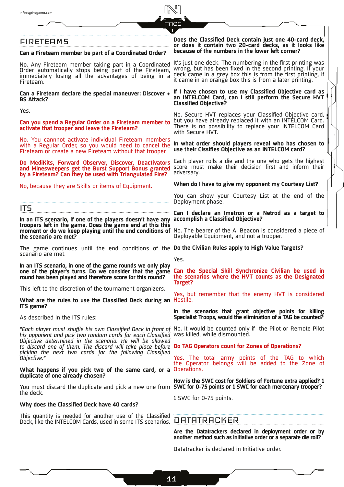# **FIRETEAMS**

## **Can a Fireteam member be part of a Coordinated Order?**

Order automatically stops being part of the Fireteam, immediately losing all the advantages of being in a Fireteam.

#### **Can a Fireteam declare the special maneuver: Discover + BS Attack?**

Yes.

**Can you spend a Regular Order on a Fireteam member to activate that trooper and leave the Fireteam?**

No. You cannnot activate individual Fireteam members with a Regular Order, so you would need to cancel the Fireteam or create a new Fireteam without that trooper.

**Do MediKits, Forward Observer, Discover, Deactivators and Minesweepers get the Burst Support Bonus granted by a Fireteam? Can they be used with Triangulated Fire?**

No, because they are Skills or items of Equipment.

ITS

**In an ITS scenario, if one of the players doesn't have any troopers left in the game. Does the game end at this this moment or do we keep playing until the end conditions of the scenario are met?**

The game continues until the end conditions of the **Do the Civilian Rules apply to High Value Targets?** scenario are met.

**In an ITS scenario, in one of the game rounds we only play one of the player's turns. Do we consider that the game round has been played and therefore score for this round?**

This left to the discretion of the tournament organizers.

### **What are the rules to use the Classified Deck during an**  Hostile. **ITS game?**

As described in the ITS rules:

*"Each player must shuffle his own Classified Deck in front of*  No. It would be counted only if the Pilot or Remote Pilot *his opponent and pick two random cards for each Classified*  was killed, while dismounted. *Objective determined in the scenario. He will be allowed to discard one of them. The discard will take place before picking the next two cards for the following Classified Objective."*

#### **What happens if you pick two of the same card, or a**  Operations. **duplicate of one already chosen?**

You must discard the duplicate and pick a new one from **SWC for 0-75 points or 1 SWC for each mercenary trooper?** the deck.

### **Why does the Classified Deck have 40 cards?**

This quantity is needed for another use of the Classified Deck, like the INTELCOM Cards, used in some ITS scenarios.

### **Does the Classified Deck contain just one 40-card deck, or does it contain two 20-card decks, as it looks like because of the numbers in the lower left corner?**

No. Any Fireteam member taking part in a Coordinated It's just one deck. The numbering in the first printing was<br>Not any Fireteam member taking part in a Coordinated Wrong but has been fixed in the cocord printing. If your wrong, but has been fixed in the second printing. If your deck came in a grey box this is from the first printing, if it came in an orange box this is from a later printing.

## **If I have chosen to use my Classified Objective card as an INTELCOM Card, can I still perform the Secure HVT Classified Objective?**

No. Secure HVT replaces your Classified Objective card, but you have already replaced it with an INTELCOM Card. There is no possibility to replace your INTELCOM Card with Secure HVT.

**In what order should players reveal who has chosen to use their Clssifies Objective as an INTELCOM card?**

Each player rolls a die and the one who gets the highest score must make their decision first and inform their adversary.

**When do I have to give my opponent my Courtesy List?**

You can show your Courtesy List at the end of the Deployment phase.

**Can I declare an Imetron or a Netrod as a target to accomplish a Classified Objective?**

No. The bearer of the AI Beacon is considered a piece of Deployable Equipment, and not a trooper.

Yes.

**Can the Special Skill Synchronize Civilian be used in the scenarios where the HVT counts as the Designated Target?**

Yes, but remember that the enemy HVT is considered

**In the scenarios that grant objective points for killing Specialist Troops, would the elimination of a TAG be counted?**

# **Do TAG Operators count for Zones of Operations?**

Yes. The total army points of the TAG to which the Operator belongs will be added to the Zone of

**How is the SWC cost for Soldiers of Fortune extra applied? 1** 

1 SWC for 0-75 points.

# DATATRACKER

**Are the Datatrackers declared in deployment order or by another method such as initiative order or a separate die roll?**

Datatracker is declared in Initiative order.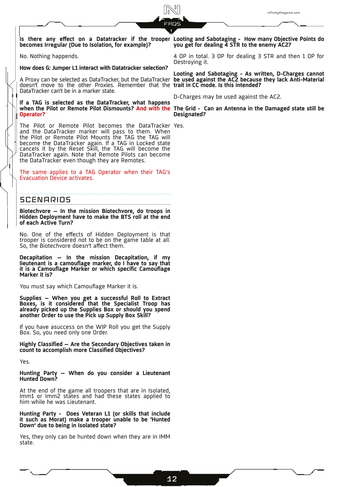**Is there any effect on a Datatracker if the trooper becomes Irregular (Due to Isolation, for example)?** 

No. Nothing happends.

**How does G: Jumper L1 interact with Datatracker selection?**

doesn't move to the other Proxies. Remember that the **trait in CC mode. Is this intended?** DataTracker can't be in a marker state.

when the Pilot or Remote Pilot Dismounts? And with the The Grid - Can an Antenna in the Damaged state still be **If a TAG is selected as the DataTracker, what happens Operator?**

The Pilot or Remote Pilot becomes the DataTracker Yes. and the DataTracker marker will pass to them. When the Pilot or Remote Pilot Mounts the TAG the TAG will become the DataTracker again. If a TAG in Locked state cancels it by the Reset Skill, the TAG will become the DataTracker again. Note that Remote Pilots can become the DataTracker even though they are Remotes.

The same applies to a TAG Operator when their TAG's Evacuation Device activates.

# **SCENARIOS**

**Biotechvore – In the mission Biotechvore, do troops in Hidden Deployment have to make the BTS roll at the end of each Active Turn?** 

No. One of the effects of Hidden Deployment is that trooper is considered not to be on the game table at all. So, the Biotechvore doesn't affect them.

**Decapitation – In the mission Decapitation, if my lieutenant is a camouflage marker, do I have to say that it is a Camouflage Marker or which specific Camouflage Marker it is?**

You must say which Camouflage Marker it is.

**Supplies – When you get a successful Roll to Extract Boxes, is it considered that the Specialist Troop has already picked up the Supplies Box or should you spend another Order to use the Pick up Supply Box Skill?**

If you have asuccess on the WIP Roll you get the Supply Box. So, you need only one Order.

**Highly Classified – Are the Secondary Objectives taken in count to accomplish more Classified Objectives?**

Yes.

**Hunting Party – When do you consider a Lieutenant Hunted Down?**

At the end of the game all troopers that are in Isolated, Imm1 or Imm2 states and had these states applied to him while he was Lieutenant.

**Hunting Party - Does Veteran L1 (or skills that include it such as Morat) make a trooper unable to be 'Hunted Down' due to being in Isolated state?**

Yes, they only can be hunted down when they are in IMM state.

**Looting and Sabotaging - How many Objective Points do you get for dealing 4 STR to the enemy AC2?**

4 OP in total. 3 OP for dealing 3 STR and then 1 OP for Destroying it.

**Looting and Sabotaging - As written, D-Charges cannot**  A Proxy can be selected as DataTracker, but the DataTracker **be used against the AC2 because they lack Anti-Material** 

D-Charges may be used against the AC2.

**Designated?**